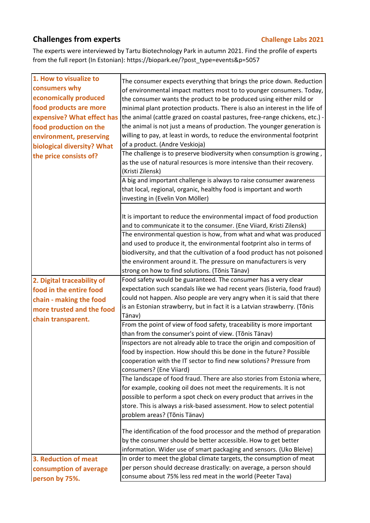## **Challenges from experts Challenge Labs 2021**

The experts were interviewed by Tartu Biotechnology Park in autumn 2021. Find the profile of experts from the full report (In Estonian): https://biopark.ee/?post\_type=events&p=5057

| 1. How to visualize to<br>consumers why<br>economically produced<br>food products are more<br>expensive? What effect has<br>food production on the<br>environment, preserving<br>biological diversity? What<br>the price consists of? | The consumer expects everything that brings the price down. Reduction<br>of environmental impact matters most to to younger consumers. Today,<br>the consumer wants the product to be produced using either mild or<br>minimal plant protection products. There is also an interest in the life of<br>the animal (cattle grazed on coastal pastures, free-range chickens, etc.) -<br>the animal is not just a means of production. The younger generation is<br>willing to pay, at least in words, to reduce the environmental footprint<br>of a product. (Andre Veskioja)<br>The challenge is to preserve biodiversity when consumption is growing,<br>as the use of natural resources is more intensive than their recovery.<br>(Kristi Zilensk)<br>A big and important challenge is always to raise consumer awareness<br>that local, regional, organic, healthy food is important and worth<br>investing in (Evelin Von Möller) |
|---------------------------------------------------------------------------------------------------------------------------------------------------------------------------------------------------------------------------------------|-------------------------------------------------------------------------------------------------------------------------------------------------------------------------------------------------------------------------------------------------------------------------------------------------------------------------------------------------------------------------------------------------------------------------------------------------------------------------------------------------------------------------------------------------------------------------------------------------------------------------------------------------------------------------------------------------------------------------------------------------------------------------------------------------------------------------------------------------------------------------------------------------------------------------------------|
| 2. Digital traceability of                                                                                                                                                                                                            | It is important to reduce the environmental impact of food production<br>and to communicate it to the consumer. (Ene Viiard, Kristi Zilensk)<br>The environmental question is how, from what and what was produced<br>and used to produce it, the environmental footprint also in terms of<br>biodiversity, and that the cultivation of a food product has not poisoned<br>the environment around it. The pressure on manufacturers is very<br>strong on how to find solutions. (Tõnis Tänav)<br>Food safety would be guaranteed. The consumer has a very clear                                                                                                                                                                                                                                                                                                                                                                     |
| food in the entire food                                                                                                                                                                                                               | expectation such scandals like we had recent years (listeria, food fraud)                                                                                                                                                                                                                                                                                                                                                                                                                                                                                                                                                                                                                                                                                                                                                                                                                                                           |
| chain - making the food                                                                                                                                                                                                               | could not happen. Also people are very angry when it is said that there                                                                                                                                                                                                                                                                                                                                                                                                                                                                                                                                                                                                                                                                                                                                                                                                                                                             |
| more trusted and the food                                                                                                                                                                                                             | is an Estonian strawberry, but in fact it is a Latvian strawberry. (Tõnis                                                                                                                                                                                                                                                                                                                                                                                                                                                                                                                                                                                                                                                                                                                                                                                                                                                           |
| chain transparent.                                                                                                                                                                                                                    | Tänav)                                                                                                                                                                                                                                                                                                                                                                                                                                                                                                                                                                                                                                                                                                                                                                                                                                                                                                                              |
|                                                                                                                                                                                                                                       | From the point of view of food safety, traceability is more important                                                                                                                                                                                                                                                                                                                                                                                                                                                                                                                                                                                                                                                                                                                                                                                                                                                               |
|                                                                                                                                                                                                                                       | than from the consumer's point of view. (Tõnis Tänav)                                                                                                                                                                                                                                                                                                                                                                                                                                                                                                                                                                                                                                                                                                                                                                                                                                                                               |
|                                                                                                                                                                                                                                       | Inspectors are not already able to trace the origin and composition of                                                                                                                                                                                                                                                                                                                                                                                                                                                                                                                                                                                                                                                                                                                                                                                                                                                              |
|                                                                                                                                                                                                                                       | food by inspection. How should this be done in the future? Possible                                                                                                                                                                                                                                                                                                                                                                                                                                                                                                                                                                                                                                                                                                                                                                                                                                                                 |
|                                                                                                                                                                                                                                       | cooperation with the IT sector to find new solutions? Pressure from<br>consumers? (Ene Viiard)                                                                                                                                                                                                                                                                                                                                                                                                                                                                                                                                                                                                                                                                                                                                                                                                                                      |
|                                                                                                                                                                                                                                       | The landscape of food fraud. There are also stories from Estonia where,                                                                                                                                                                                                                                                                                                                                                                                                                                                                                                                                                                                                                                                                                                                                                                                                                                                             |
|                                                                                                                                                                                                                                       | for example, cooking oil does not meet the requirements. It is not                                                                                                                                                                                                                                                                                                                                                                                                                                                                                                                                                                                                                                                                                                                                                                                                                                                                  |
|                                                                                                                                                                                                                                       | possible to perform a spot check on every product that arrives in the                                                                                                                                                                                                                                                                                                                                                                                                                                                                                                                                                                                                                                                                                                                                                                                                                                                               |
|                                                                                                                                                                                                                                       | store. This is always a risk-based assessment. How to select potential                                                                                                                                                                                                                                                                                                                                                                                                                                                                                                                                                                                                                                                                                                                                                                                                                                                              |
|                                                                                                                                                                                                                                       | problem areas? (Tõnis Tänav)                                                                                                                                                                                                                                                                                                                                                                                                                                                                                                                                                                                                                                                                                                                                                                                                                                                                                                        |
|                                                                                                                                                                                                                                       | The identification of the food processor and the method of preparation<br>by the consumer should be better accessible. How to get better<br>information. Wider use of smart packaging and sensors. (Uko Bleive)                                                                                                                                                                                                                                                                                                                                                                                                                                                                                                                                                                                                                                                                                                                     |
| 3. Reduction of meat                                                                                                                                                                                                                  | In order to meet the global climate targets, the consumption of meat                                                                                                                                                                                                                                                                                                                                                                                                                                                                                                                                                                                                                                                                                                                                                                                                                                                                |
| consumption of average                                                                                                                                                                                                                | per person should decrease drastically: on average, a person should                                                                                                                                                                                                                                                                                                                                                                                                                                                                                                                                                                                                                                                                                                                                                                                                                                                                 |
| person by 75%.                                                                                                                                                                                                                        | consume about 75% less red meat in the world (Peeter Tava)                                                                                                                                                                                                                                                                                                                                                                                                                                                                                                                                                                                                                                                                                                                                                                                                                                                                          |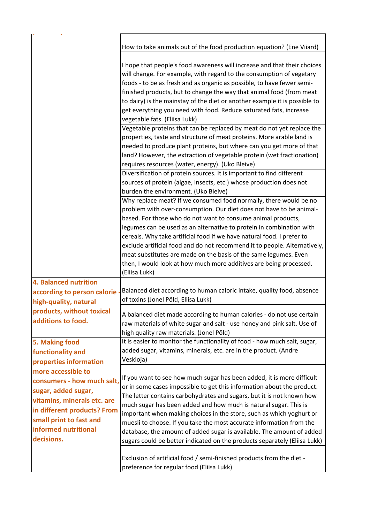|                                                                                                                                                                                                        | How to take animals out of the food production equation? (Ene Viiard)                                                                                                                                                                                                                                                                                                                                                                                                                                                                                                                               |
|--------------------------------------------------------------------------------------------------------------------------------------------------------------------------------------------------------|-----------------------------------------------------------------------------------------------------------------------------------------------------------------------------------------------------------------------------------------------------------------------------------------------------------------------------------------------------------------------------------------------------------------------------------------------------------------------------------------------------------------------------------------------------------------------------------------------------|
|                                                                                                                                                                                                        | I hope that people's food awareness will increase and that their choices<br>will change. For example, with regard to the consumption of vegetary<br>foods - to be as fresh and as organic as possible, to have fewer semi-                                                                                                                                                                                                                                                                                                                                                                          |
|                                                                                                                                                                                                        | finished products, but to change the way that animal food (from meat<br>to dairy) is the mainstay of the diet or another example it is possible to<br>get everything you need with food. Reduce saturated fats, increase                                                                                                                                                                                                                                                                                                                                                                            |
|                                                                                                                                                                                                        | vegetable fats. (Eliisa Lukk)<br>Vegetable proteins that can be replaced by meat do not yet replace the                                                                                                                                                                                                                                                                                                                                                                                                                                                                                             |
|                                                                                                                                                                                                        | properties, taste and structure of meat proteins. More arable land is<br>needed to produce plant proteins, but where can you get more of that<br>land? However, the extraction of vegetable protein (wet fractionation)<br>requires resources (water, energy). (Uko Bleive)                                                                                                                                                                                                                                                                                                                         |
|                                                                                                                                                                                                        | Diversification of protein sources. It is important to find different<br>sources of protein (algae, insects, etc.) whose production does not<br>burden the environment. (Uko Bleive)                                                                                                                                                                                                                                                                                                                                                                                                                |
|                                                                                                                                                                                                        | Why replace meat? If we consumed food normally, there would be no<br>problem with over-consumption. Our diet does not have to be animal-<br>based. For those who do not want to consume animal products,<br>legumes can be used as an alternative to protein in combination with<br>cereals. Why take artificial food if we have natural food. I prefer to<br>exclude artificial food and do not recommend it to people. Alternatively,<br>meat substitutes are made on the basis of the same legumes. Even<br>then, I would look at how much more additives are being processed.<br>(Eliisa Lukk)  |
| <b>4. Balanced nutrition</b><br>according to person calorie<br>high-quality, natural<br>products, without toxical<br>additions to food.                                                                | Balanced diet according to human caloric intake, quality food, absence<br>of toxins (Jonel Põld, Eliisa Lukk)                                                                                                                                                                                                                                                                                                                                                                                                                                                                                       |
|                                                                                                                                                                                                        | A balanced diet made according to human calories - do not use certain<br>raw materials of white sugar and salt - use honey and pink salt. Use of<br>high quality raw materials. (Jonel Põld)                                                                                                                                                                                                                                                                                                                                                                                                        |
| 5. Making food<br>functionality and<br>properties information                                                                                                                                          | It is easier to monitor the functionality of food - how much salt, sugar,<br>added sugar, vitamins, minerals, etc. are in the product. (Andre<br>Veskioja)                                                                                                                                                                                                                                                                                                                                                                                                                                          |
| more accessible to<br>consumers - how much salt,<br>sugar, added sugar,<br>vitamins, minerals etc. are<br>in different products? From<br>small print to fast and<br>informed nutritional<br>decisions. | If you want to see how much sugar has been added, it is more difficult<br>or in some cases impossible to get this information about the product.<br>The letter contains carbohydrates and sugars, but it is not known how<br>much sugar has been added and how much is natural sugar. This is<br>important when making choices in the store, such as which yoghurt or<br>muesli to choose. If you take the most accurate information from the<br>database, the amount of added sugar is available. The amount of added<br>sugars could be better indicated on the products separately (Eliisa Lukk) |
|                                                                                                                                                                                                        | Exclusion of artificial food / semi-finished products from the diet -<br>preference for regular food (Eliisa Lukk)                                                                                                                                                                                                                                                                                                                                                                                                                                                                                  |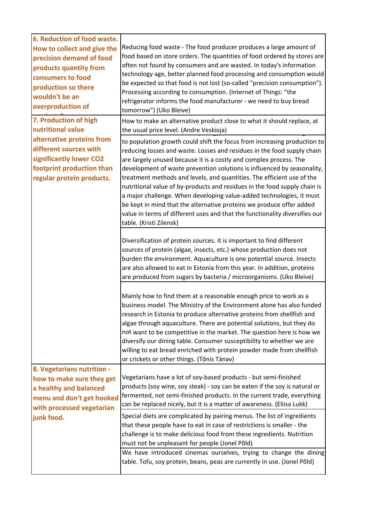| 6. Reduction of food waste.<br>How to collect and give the<br>precision demand of food<br>products quantity from<br>consumers to food<br>production so there<br>wouldn't be an<br>overproduction of                                                                                                                                                 | Reducing food waste - The food producer produces a large amount of<br>food based on store orders. The quantities of food ordered by stores are<br>often not found by consumers and are wasted. In today's information<br>technology age, better planned food processing and consumption would<br>be expected so that food is not lost (so-called "precision consumption").<br>Processing according to consumption. (Internet of Things: "the<br>refrigerator informs the food manufacturer - we need to buy bread<br>tomorrow") (Uko Bleive)                                                                                                                                                                          |
|-----------------------------------------------------------------------------------------------------------------------------------------------------------------------------------------------------------------------------------------------------------------------------------------------------------------------------------------------------|-----------------------------------------------------------------------------------------------------------------------------------------------------------------------------------------------------------------------------------------------------------------------------------------------------------------------------------------------------------------------------------------------------------------------------------------------------------------------------------------------------------------------------------------------------------------------------------------------------------------------------------------------------------------------------------------------------------------------|
| 7. Production of high<br>nutritional value<br>alternative proteins from<br>different sources with<br>significantly lower CO2<br>footprint production than<br>regular protein products.<br>8. Vegetarians nutrition -<br>how to make sure they get<br>a healthy and balanced<br>menu and don't get hooked<br>with processed vegetarian<br>junk food. | How to make an alternative product close to what it should replace, at<br>the usual price level. (Andre Veskioja)                                                                                                                                                                                                                                                                                                                                                                                                                                                                                                                                                                                                     |
|                                                                                                                                                                                                                                                                                                                                                     | to population growth could shift the focus from increasing production to<br>reducing losses and waste. Losses and residues in the food supply chain<br>are largely unused because it is a costly and complex process. The<br>development of waste prevention solutions is influenced by seasonality,<br>treatment methods and levels, and quantities. The efficient use of the<br>nutritional value of by-products and residues in the food supply chain is<br>a major challenge. When developing value-added technologies, it must<br>be kept in mind that the alternative proteins we produce offer added<br>value in terms of different uses and that the functionality diversifies our<br>table. (Kristi Zilensk) |
|                                                                                                                                                                                                                                                                                                                                                     | Diversification of protein sources. It is important to find different<br>sources of protein (algae, insects, etc.) whose production does not<br>burden the environment. Aquaculture is one potential source. Insects<br>are also allowed to eat in Estonia from this year. In addition, proteins<br>are produced from sugars by bacteria / microorganisms. (Uko Bleive)                                                                                                                                                                                                                                                                                                                                               |
|                                                                                                                                                                                                                                                                                                                                                     | Mainly how to find them at a reasonable enough price to work as a<br>business model. The Ministry of the Environment alone has also funded<br>research in Estonia to produce alternative proteins from shellfish and<br>algae through aquaculture. There are potential solutions, but they do<br>not want to be competitive in the market. The question here is how we<br>diversify our dining table. Consumer susceptibility to whether we are<br>willing to eat bread enriched with protein powder made from shellfish<br>or crickets or other things. (Tõnis Tänav)                                                                                                                                                |
|                                                                                                                                                                                                                                                                                                                                                     | Vegetarians have a lot of soy-based products - but semi-finished<br>products (soy wine, soy steak) - soy can be eaten if the soy is natural or<br>fermented, not semi-finished products. In the current trade, everything<br>can be replaced nicely, but it is a matter of awareness. (Eliisa Lukk)<br>Special diets are complicated by pairing menus. The list of ingredients                                                                                                                                                                                                                                                                                                                                        |
|                                                                                                                                                                                                                                                                                                                                                     | that these people have to eat in case of restrictions is smaller - the<br>challenge is to make delicious food from these ingredients. Nutrition<br>must not be unpleasant for people (Jonel Põld)<br>We have introduced cinemas ourselves, trying to change the dining<br>table. Tofu, soy protein, beans, peas are currently in use. (Jonel Põld)                                                                                                                                                                                                                                                                                                                                                                    |